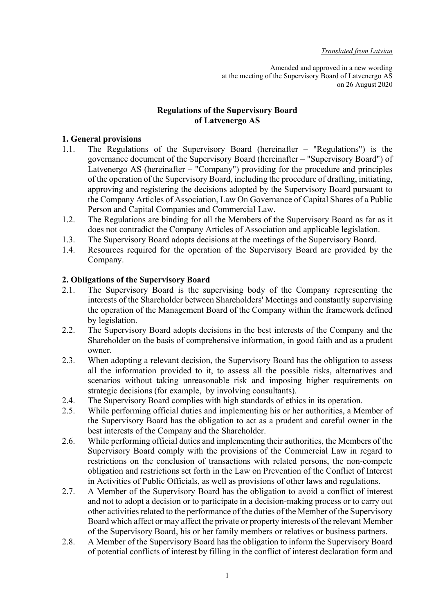Amended and approved in a new wording at the meeting of the Supervisory Board of Latvenergo AS on 26 August 2020

# Regulations of the Supervisory Board of Latvenergo AS

### 1. General provisions

- 1.1. The Regulations of the Supervisory Board (hereinafter "Regulations") is the governance document of the Supervisory Board (hereinafter – "Supervisory Board") of Latvenergo AS (hereinafter – "Company") providing for the procedure and principles of the operation of the Supervisory Board, including the procedure of drafting, initiating, approving and registering the decisions adopted by the Supervisory Board pursuant to the Company Articles of Association, Law On Governance of Capital Shares of a Public Person and Capital Companies and Commercial Law.
- 1.2. The Regulations are binding for all the Members of the Supervisory Board as far as it does not contradict the Company Articles of Association and applicable legislation.
- 1.3. The Supervisory Board adopts decisions at the meetings of the Supervisory Board.
- 1.4. Resources required for the operation of the Supervisory Board are provided by the Company.

### 2. Obligations of the Supervisory Board

- 2.1. The Supervisory Board is the supervising body of the Company representing the interests of the Shareholder between Shareholders' Meetings and constantly supervising the operation of the Management Board of the Company within the framework defined by legislation.
- 2.2. The Supervisory Board adopts decisions in the best interests of the Company and the Shareholder on the basis of comprehensive information, in good faith and as a prudent owner.
- 2.3. When adopting a relevant decision, the Supervisory Board has the obligation to assess all the information provided to it, to assess all the possible risks, alternatives and scenarios without taking unreasonable risk and imposing higher requirements on strategic decisions (for example, by involving consultants).
- 2.4. The Supervisory Board complies with high standards of ethics in its operation.
- 2.5. While performing official duties and implementing his or her authorities, a Member of the Supervisory Board has the obligation to act as a prudent and careful owner in the best interests of the Company and the Shareholder.
- 2.6. While performing official duties and implementing their authorities, the Members of the Supervisory Board comply with the provisions of the Commercial Law in regard to restrictions on the conclusion of transactions with related persons, the non-compete obligation and restrictions set forth in the Law on Prevention of the Conflict of Interest in Activities of Public Officials, as well as provisions of other laws and regulations.
- 2.7. A Member of the Supervisory Board has the obligation to avoid a conflict of interest and not to adopt a decision or to participate in a decision-making process or to carry out other activities related to the performance of the duties of the Member of the Supervisory Board which affect or may affect the private or property interests of the relevant Member of the Supervisory Board, his or her family members or relatives or business partners.
- 2.8. A Member of the Supervisory Board has the obligation to inform the Supervisory Board of potential conflicts of interest by filling in the conflict of interest declaration form and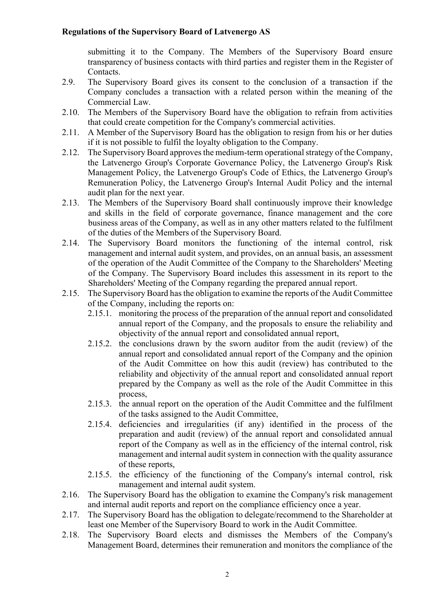submitting it to the Company. The Members of the Supervisory Board ensure transparency of business contacts with third parties and register them in the Register of Contacts.

- 2.9. The Supervisory Board gives its consent to the conclusion of a transaction if the Company concludes a transaction with a related person within the meaning of the Commercial Law.
- 2.10. The Members of the Supervisory Board have the obligation to refrain from activities that could create competition for the Company's commercial activities.
- 2.11. A Member of the Supervisory Board has the obligation to resign from his or her duties if it is not possible to fulfil the loyalty obligation to the Company.
- 2.12. The Supervisory Board approves the medium-term operational strategy of the Company, the Latvenergo Group's Corporate Governance Policy, the Latvenergo Group's Risk Management Policy, the Latvenergo Group's Code of Ethics, the Latvenergo Group's Remuneration Policy, the Latvenergo Group's Internal Audit Policy and the internal audit plan for the next year.
- 2.13. The Members of the Supervisory Board shall continuously improve their knowledge and skills in the field of corporate governance, finance management and the core business areas of the Company, as well as in any other matters related to the fulfilment of the duties of the Members of the Supervisory Board.
- 2.14. The Supervisory Board monitors the functioning of the internal control, risk management and internal audit system, and provides, on an annual basis, an assessment of the operation of the Audit Committee of the Company to the Shareholders' Meeting of the Company. The Supervisory Board includes this assessment in its report to the Shareholders' Meeting of the Company regarding the prepared annual report.
- 2.15. The Supervisory Board has the obligation to examine the reports of the Audit Committee of the Company, including the reports on:
	- 2.15.1. monitoring the process of the preparation of the annual report and consolidated annual report of the Company, and the proposals to ensure the reliability and objectivity of the annual report and consolidated annual report,
	- 2.15.2. the conclusions drawn by the sworn auditor from the audit (review) of the annual report and consolidated annual report of the Company and the opinion of the Audit Committee on how this audit (review) has contributed to the reliability and objectivity of the annual report and consolidated annual report prepared by the Company as well as the role of the Audit Committee in this process,
	- 2.15.3. the annual report on the operation of the Audit Committee and the fulfilment of the tasks assigned to the Audit Committee,
	- 2.15.4. deficiencies and irregularities (if any) identified in the process of the preparation and audit (review) of the annual report and consolidated annual report of the Company as well as in the efficiency of the internal control, risk management and internal audit system in connection with the quality assurance of these reports,
	- 2.15.5. the efficiency of the functioning of the Company's internal control, risk management and internal audit system.
- 2.16. The Supervisory Board has the obligation to examine the Company's risk management and internal audit reports and report on the compliance efficiency once a year.
- 2.17. The Supervisory Board has the obligation to delegate/recommend to the Shareholder at least one Member of the Supervisory Board to work in the Audit Committee.
- 2.18. The Supervisory Board elects and dismisses the Members of the Company's Management Board, determines their remuneration and monitors the compliance of the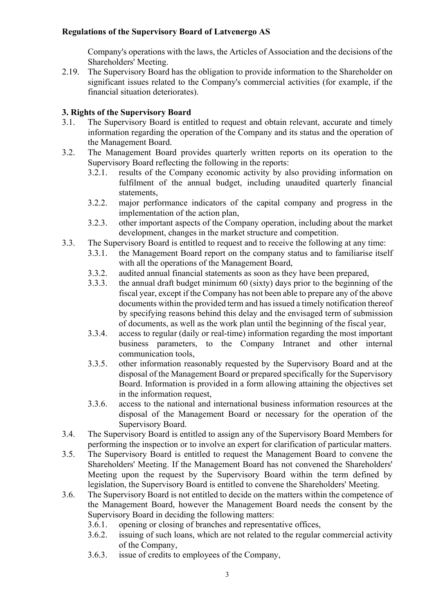Company's operations with the laws, the Articles of Association and the decisions of the Shareholders' Meeting.

2.19. The Supervisory Board has the obligation to provide information to the Shareholder on significant issues related to the Company's commercial activities (for example, if the financial situation deteriorates).

# 3. Rights of the Supervisory Board

- 3.1. The Supervisory Board is entitled to request and obtain relevant, accurate and timely information regarding the operation of the Company and its status and the operation of the Management Board.
- 3.2. The Management Board provides quarterly written reports on its operation to the Supervisory Board reflecting the following in the reports:
	- 3.2.1. results of the Company economic activity by also providing information on fulfilment of the annual budget, including unaudited quarterly financial statements,
	- 3.2.2. major performance indicators of the capital company and progress in the implementation of the action plan,
	- 3.2.3. other important aspects of the Company operation, including about the market development, changes in the market structure and competition.
- 3.3. The Supervisory Board is entitled to request and to receive the following at any time:
	- 3.3.1. the Management Board report on the company status and to familiarise itself with all the operations of the Management Board,
	- 3.3.2. audited annual financial statements as soon as they have been prepared,
	- 3.3.3. the annual draft budget minimum 60 (sixty) days prior to the beginning of the fiscal year, except if the Company has not been able to prepare any of the above documents within the provided term and has issued a timely notification thereof by specifying reasons behind this delay and the envisaged term of submission of documents, as well as the work plan until the beginning of the fiscal year,
	- 3.3.4. access to regular (daily or real-time) information regarding the most important business parameters, to the Company Intranet and other internal communication tools,
	- 3.3.5. other information reasonably requested by the Supervisory Board and at the disposal of the Management Board or prepared specifically for the Supervisory Board. Information is provided in a form allowing attaining the objectives set in the information request,
	- 3.3.6. access to the national and international business information resources at the disposal of the Management Board or necessary for the operation of the Supervisory Board.
- 3.4. The Supervisory Board is entitled to assign any of the Supervisory Board Members for performing the inspection or to involve an expert for clarification of particular matters.
- 3.5. The Supervisory Board is entitled to request the Management Board to convene the Shareholders' Meeting. If the Management Board has not convened the Shareholders' Meeting upon the request by the Supervisory Board within the term defined by legislation, the Supervisory Board is entitled to convene the Shareholders' Meeting.
- 3.6. The Supervisory Board is not entitled to decide on the matters within the competence of the Management Board, however the Management Board needs the consent by the Supervisory Board in deciding the following matters:
	- 3.6.1. opening or closing of branches and representative offices,
	- 3.6.2. issuing of such loans, which are not related to the regular commercial activity of the Company,
	- 3.6.3. issue of credits to employees of the Company,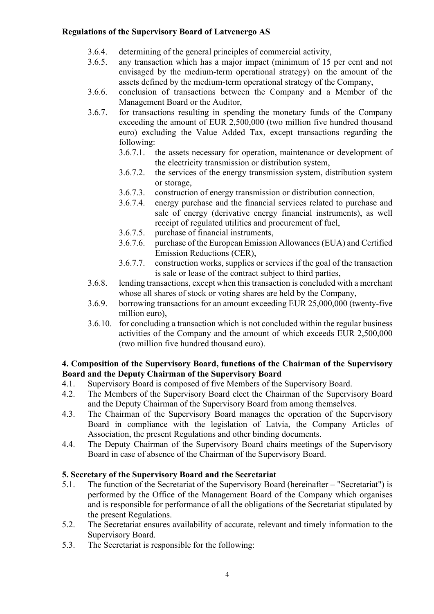- 3.6.4. determining of the general principles of commercial activity,
- 3.6.5. any transaction which has a major impact (minimum of 15 per cent and not envisaged by the medium-term operational strategy) on the amount of the assets defined by the medium-term operational strategy of the Company,
- 3.6.6. conclusion of transactions between the Company and a Member of the Management Board or the Auditor,
- 3.6.7. for transactions resulting in spending the monetary funds of the Company exceeding the amount of EUR 2,500,000 (two million five hundred thousand euro) excluding the Value Added Tax, except transactions regarding the following:
	- 3.6.7.1. the assets necessary for operation, maintenance or development of the electricity transmission or distribution system,
	- 3.6.7.2. the services of the energy transmission system, distribution system or storage,
	- 3.6.7.3. construction of energy transmission or distribution connection,
	- 3.6.7.4. energy purchase and the financial services related to purchase and sale of energy (derivative energy financial instruments), as well receipt of regulated utilities and procurement of fuel,
	- 3.6.7.5. purchase of financial instruments,
	- 3.6.7.6. purchase of the European Emission Allowances (EUA) and Certified Emission Reductions (CER),
	- 3.6.7.7. construction works, supplies or services if the goal of the transaction is sale or lease of the contract subject to third parties,
- 3.6.8. lending transactions, except when this transaction is concluded with a merchant whose all shares of stock or voting shares are held by the Company,
- 3.6.9. borrowing transactions for an amount exceeding EUR 25,000,000 (twenty-five million euro),
- 3.6.10. for concluding a transaction which is not concluded within the regular business activities of the Company and the amount of which exceeds EUR 2,500,000 (two million five hundred thousand euro).

# 4. Composition of the Supervisory Board, functions of the Chairman of the Supervisory Board and the Deputy Chairman of the Supervisory Board

- 4.1. Supervisory Board is composed of five Members of the Supervisory Board.
- 4.2. The Members of the Supervisory Board elect the Chairman of the Supervisory Board and the Deputy Chairman of the Supervisory Board from among themselves.
- 4.3. The Chairman of the Supervisory Board manages the operation of the Supervisory Board in compliance with the legislation of Latvia, the Company Articles of Association, the present Regulations and other binding documents.
- 4.4. The Deputy Chairman of the Supervisory Board chairs meetings of the Supervisory Board in case of absence of the Chairman of the Supervisory Board.

# 5. Secretary of the Supervisory Board and the Secretariat

- 5.1. The function of the Secretariat of the Supervisory Board (hereinafter "Secretariat") is performed by the Office of the Management Board of the Company which organises and is responsible for performance of all the obligations of the Secretariat stipulated by the present Regulations.
- 5.2. The Secretariat ensures availability of accurate, relevant and timely information to the Supervisory Board.
- 5.3. The Secretariat is responsible for the following: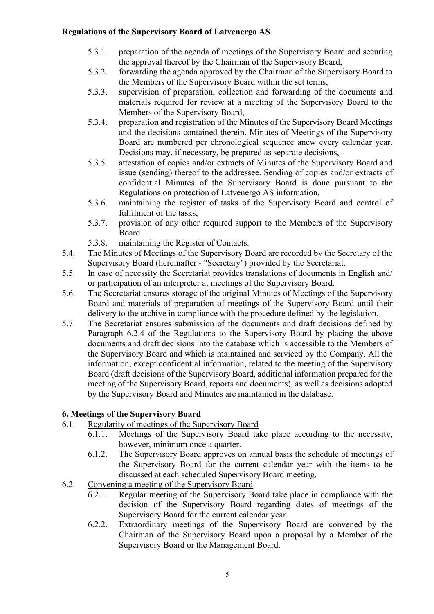- 5.3.1. preparation of the agenda of meetings of the Supervisory Board and securing the approval thereof by the Chairman of the Supervisory Board,
- 5.3.2. forwarding the agenda approved by the Chairman of the Supervisory Board to the Members of the Supervisory Board within the set terms,
- 5.3.3. supervision of preparation, collection and forwarding of the documents and materials required for review at a meeting of the Supervisory Board to the Members of the Supervisory Board,
- 5.3.4. preparation and registration of the Minutes of the Supervisory Board Meetings and the decisions contained therein. Minutes of Meetings of the Supervisory Board are numbered per chronological sequence anew every calendar year. Decisions may, if necessary, be prepared as separate decisions,
- 5.3.5. attestation of copies and/or extracts of Minutes of the Supervisory Board and issue (sending) thereof to the addressee. Sending of copies and/or extracts of confidential Minutes of the Supervisory Board is done pursuant to the Regulations on protection of Latvenergo AS information,
- 5.3.6. maintaining the register of tasks of the Supervisory Board and control of fulfilment of the tasks,
- 5.3.7. provision of any other required support to the Members of the Supervisory Board
- 5.3.8. maintaining the Register of Contacts.
- 5.4. The Minutes of Meetings of the Supervisory Board are recorded by the Secretary of the Supervisory Board (hereinafter - "Secretary") provided by the Secretariat.
- 5.5. In case of necessity the Secretariat provides translations of documents in English and/ or participation of an interpreter at meetings of the Supervisory Board.
- 5.6. The Secretariat ensures storage of the original Minutes of Meetings of the Supervisory Board and materials of preparation of meetings of the Supervisory Board until their delivery to the archive in compliance with the procedure defined by the legislation.
- 5.7. The Secretariat ensures submission of the documents and draft decisions defined by Paragraph 6.2.4 of the Regulations to the Supervisory Board by placing the above documents and draft decisions into the database which is accessible to the Members of the Supervisory Board and which is maintained and serviced by the Company. All the information, except confidential information, related to the meeting of the Supervisory Board (draft decisions of the Supervisory Board, additional information prepared for the meeting of the Supervisory Board, reports and documents), as well as decisions adopted by the Supervisory Board and Minutes are maintained in the database.

# 6. Meetings of the Supervisory Board

- 6.1. Regularity of meetings of the Supervisory Board
	- 6.1.1. Meetings of the Supervisory Board take place according to the necessity, however, minimum once a quarter.
	- 6.1.2. The Supervisory Board approves on annual basis the schedule of meetings of the Supervisory Board for the current calendar year with the items to be discussed at each scheduled Supervisory Board meeting.
- 6.2. Convening a meeting of the Supervisory Board
	- 6.2.1. Regular meeting of the Supervisory Board take place in compliance with the decision of the Supervisory Board regarding dates of meetings of the Supervisory Board for the current calendar year.
	- 6.2.2. Extraordinary meetings of the Supervisory Board are convened by the Chairman of the Supervisory Board upon a proposal by a Member of the Supervisory Board or the Management Board.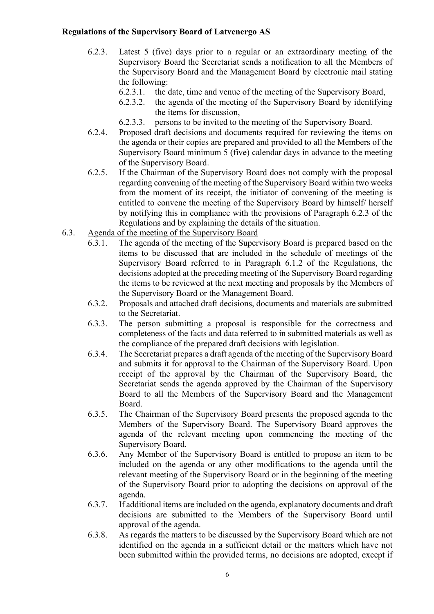- 6.2.3. Latest 5 (five) days prior to a regular or an extraordinary meeting of the Supervisory Board the Secretariat sends a notification to all the Members of the Supervisory Board and the Management Board by electronic mail stating the following:
	- 6.2.3.1. the date, time and venue of the meeting of the Supervisory Board,
	- 6.2.3.2. the agenda of the meeting of the Supervisory Board by identifying the items for discussion,
	- 6.2.3.3. persons to be invited to the meeting of the Supervisory Board.
- 6.2.4. Proposed draft decisions and documents required for reviewing the items on the agenda or their copies are prepared and provided to all the Members of the Supervisory Board minimum 5 (five) calendar days in advance to the meeting of the Supervisory Board.
- 6.2.5. If the Chairman of the Supervisory Board does not comply with the proposal regarding convening of the meeting of the Supervisory Board within two weeks from the moment of its receipt, the initiator of convening of the meeting is entitled to convene the meeting of the Supervisory Board by himself/ herself by notifying this in compliance with the provisions of Paragraph 6.2.3 of the Regulations and by explaining the details of the situation.
- 6.3. Agenda of the meeting of the Supervisory Board
	- 6.3.1. The agenda of the meeting of the Supervisory Board is prepared based on the items to be discussed that are included in the schedule of meetings of the Supervisory Board referred to in Paragraph 6.1.2 of the Regulations, the decisions adopted at the preceding meeting of the Supervisory Board regarding the items to be reviewed at the next meeting and proposals by the Members of the Supervisory Board or the Management Board.
	- 6.3.2. Proposals and attached draft decisions, documents and materials are submitted to the Secretariat.
	- 6.3.3. The person submitting a proposal is responsible for the correctness and completeness of the facts and data referred to in submitted materials as well as the compliance of the prepared draft decisions with legislation.
	- 6.3.4. The Secretariat prepares a draft agenda of the meeting of the Supervisory Board and submits it for approval to the Chairman of the Supervisory Board. Upon receipt of the approval by the Chairman of the Supervisory Board, the Secretariat sends the agenda approved by the Chairman of the Supervisory Board to all the Members of the Supervisory Board and the Management Board.
	- 6.3.5. The Chairman of the Supervisory Board presents the proposed agenda to the Members of the Supervisory Board. The Supervisory Board approves the agenda of the relevant meeting upon commencing the meeting of the Supervisory Board.
	- 6.3.6. Any Member of the Supervisory Board is entitled to propose an item to be included on the agenda or any other modifications to the agenda until the relevant meeting of the Supervisory Board or in the beginning of the meeting of the Supervisory Board prior to adopting the decisions on approval of the agenda.
	- 6.3.7. If additional items are included on the agenda, explanatory documents and draft decisions are submitted to the Members of the Supervisory Board until approval of the agenda.
	- 6.3.8. As regards the matters to be discussed by the Supervisory Board which are not identified on the agenda in a sufficient detail or the matters which have not been submitted within the provided terms, no decisions are adopted, except if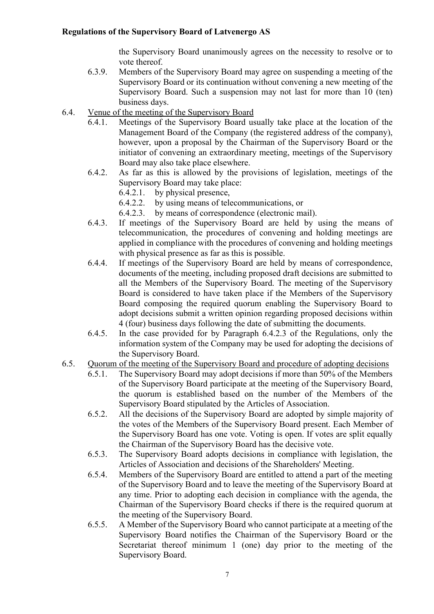the Supervisory Board unanimously agrees on the necessity to resolve or to vote thereof.

- 6.3.9. Members of the Supervisory Board may agree on suspending a meeting of the Supervisory Board or its continuation without convening a new meeting of the Supervisory Board. Such a suspension may not last for more than 10 (ten) business days.
- 6.4. Venue of the meeting of the Supervisory Board
	- 6.4.1. Meetings of the Supervisory Board usually take place at the location of the Management Board of the Company (the registered address of the company), however, upon a proposal by the Chairman of the Supervisory Board or the initiator of convening an extraordinary meeting, meetings of the Supervisory Board may also take place elsewhere.
	- 6.4.2. As far as this is allowed by the provisions of legislation, meetings of the Supervisory Board may take place:
		- 6.4.2.1. by physical presence,
		- 6.4.2.2. by using means of telecommunications, or
		- 6.4.2.3. by means of correspondence (electronic mail).
	- 6.4.3. If meetings of the Supervisory Board are held by using the means of telecommunication, the procedures of convening and holding meetings are applied in compliance with the procedures of convening and holding meetings with physical presence as far as this is possible.
	- 6.4.4. If meetings of the Supervisory Board are held by means of correspondence, documents of the meeting, including proposed draft decisions are submitted to all the Members of the Supervisory Board. The meeting of the Supervisory Board is considered to have taken place if the Members of the Supervisory Board composing the required quorum enabling the Supervisory Board to adopt decisions submit a written opinion regarding proposed decisions within 4 (four) business days following the date of submitting the documents.
	- 6.4.5. In the case provided for by Paragraph 6.4.2.3 of the Regulations, only the information system of the Company may be used for adopting the decisions of the Supervisory Board.
- 6.5. Quorum of the meeting of the Supervisory Board and procedure of adopting decisions
	- 6.5.1. The Supervisory Board may adopt decisions if more than 50% of the Members of the Supervisory Board participate at the meeting of the Supervisory Board, the quorum is established based on the number of the Members of the Supervisory Board stipulated by the Articles of Association.
	- 6.5.2. All the decisions of the Supervisory Board are adopted by simple majority of the votes of the Members of the Supervisory Board present. Each Member of the Supervisory Board has one vote. Voting is open. If votes are split equally the Chairman of the Supervisory Board has the decisive vote.
	- 6.5.3. The Supervisory Board adopts decisions in compliance with legislation, the Articles of Association and decisions of the Shareholders' Meeting.
	- 6.5.4. Members of the Supervisory Board are entitled to attend a part of the meeting of the Supervisory Board and to leave the meeting of the Supervisory Board at any time. Prior to adopting each decision in compliance with the agenda, the Chairman of the Supervisory Board checks if there is the required quorum at the meeting of the Supervisory Board.
	- 6.5.5. A Member of the Supervisory Board who cannot participate at a meeting of the Supervisory Board notifies the Chairman of the Supervisory Board or the Secretariat thereof minimum 1 (one) day prior to the meeting of the Supervisory Board.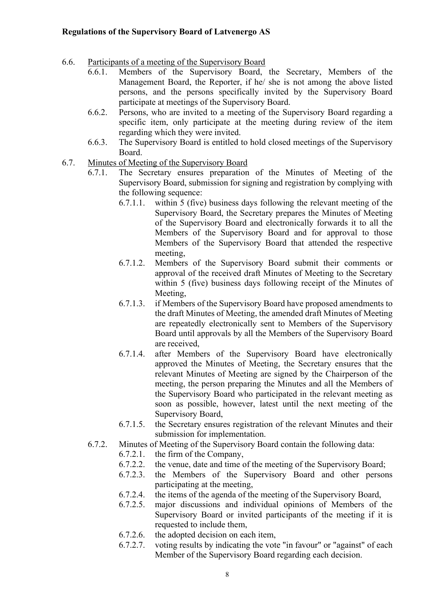- 6.6. Participants of a meeting of the Supervisory Board
	- 6.6.1. Members of the Supervisory Board, the Secretary, Members of the Management Board, the Reporter, if he/ she is not among the above listed persons, and the persons specifically invited by the Supervisory Board participate at meetings of the Supervisory Board.
	- 6.6.2. Persons, who are invited to a meeting of the Supervisory Board regarding a specific item, only participate at the meeting during review of the item regarding which they were invited.
	- 6.6.3. The Supervisory Board is entitled to hold closed meetings of the Supervisory Board.
- 6.7. Minutes of Meeting of the Supervisory Board
	- 6.7.1. The Secretary ensures preparation of the Minutes of Meeting of the Supervisory Board, submission for signing and registration by complying with the following sequence:
		- 6.7.1.1. within 5 (five) business days following the relevant meeting of the Supervisory Board, the Secretary prepares the Minutes of Meeting of the Supervisory Board and electronically forwards it to all the Members of the Supervisory Board and for approval to those Members of the Supervisory Board that attended the respective meeting,
		- 6.7.1.2. Members of the Supervisory Board submit their comments or approval of the received draft Minutes of Meeting to the Secretary within 5 (five) business days following receipt of the Minutes of Meeting,
		- 6.7.1.3. if Members of the Supervisory Board have proposed amendments to the draft Minutes of Meeting, the amended draft Minutes of Meeting are repeatedly electronically sent to Members of the Supervisory Board until approvals by all the Members of the Supervisory Board are received,
		- 6.7.1.4. after Members of the Supervisory Board have electronically approved the Minutes of Meeting, the Secretary ensures that the relevant Minutes of Meeting are signed by the Chairperson of the meeting, the person preparing the Minutes and all the Members of the Supervisory Board who participated in the relevant meeting as soon as possible, however, latest until the next meeting of the Supervisory Board,
		- 6.7.1.5. the Secretary ensures registration of the relevant Minutes and their submission for implementation.
	- 6.7.2. Minutes of Meeting of the Supervisory Board contain the following data:
		- 6.7.2.1. the firm of the Company,
		- 6.7.2.2. the venue, date and time of the meeting of the Supervisory Board;
		- 6.7.2.3. the Members of the Supervisory Board and other persons participating at the meeting,
		- 6.7.2.4. the items of the agenda of the meeting of the Supervisory Board,
		- 6.7.2.5. major discussions and individual opinions of Members of the Supervisory Board or invited participants of the meeting if it is requested to include them,
		- 6.7.2.6. the adopted decision on each item,
		- 6.7.2.7. voting results by indicating the vote "in favour" or "against" of each Member of the Supervisory Board regarding each decision.